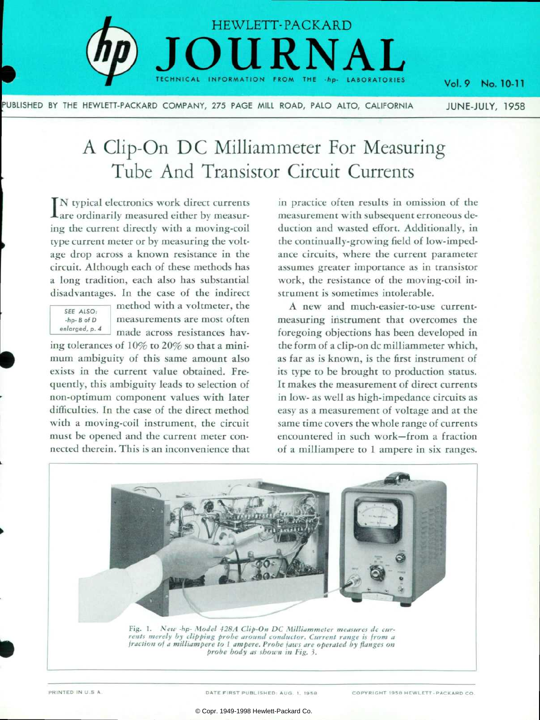

PUBLISHED BY THE HEWLETT-PACKARD COMPANY, 275 PAGE MILL ROAD, PALO ALTO, CALIFORNIA

## Vol.9 No. 10-1 JUNE-JULY, 1958

# A Clip-On DC Milliammeter For Measuring Tube And Transistor Circuit Currents

IN typical electronics work direct currents **L**are ordinarily measured either by measuring the current directly with a moving-coil type current meter or by measuring the volt age drop across a known resistance in the circuit. Although each of these methods has a long tradition, each also has substantial disadvantages. In the case of the indirect



method with a voltmeter, the measurements are most often made across resistances hav

ing tolerances of 10% to 20% so that a mini mum ambiguity of this same amount also exists in the current value obtained. Fre quently, this ambiguity leads to selection of non-optimum component values with later difficulties. In the case of the direct method with a moving-coil instrument, the circuit must be opened and the current meter con nected therein. This is an inconvenience that in practice often results in omission of the measurement with subsequent erroneous de duction and wasted effort. Additionally, in the continually-growing field of low-impedance circuits, where the current parameter assumes greater importance as in transistor work, the resistance of the moving-coil in strument is sometimes intolerable.

A new and much-easier-to-use currentmeasuring instrument that overcomes the foregoing objections has been developed in the form of a clip-on dc milliammeter which, as far as is known, is the first instrument of its type to be brought to production status. It makes the measurement of direct currents in low- as well as high-impedance circuits as easy as a measurement of voltage and at the same time covers the whole range of currents encountered in such work— from a fraction of a milliampere to 1 ampere in six ranges.



Fig. 1. New -hp- Model 428A Clip-On DC Milliammeter measures dc cur*rents merely by clipping probe around conductor. Current range is from a fraction of a milliampere to 1 ampere. Probe jaws are operated by flanges on probe body as shown in Fig. 3.* 

PRINTED IN U.S A. DATE FIRST PUBLISHED: AUG. 1, 1958 **COPYRIGHT 1958 HEWLETT-PACKARD CO.**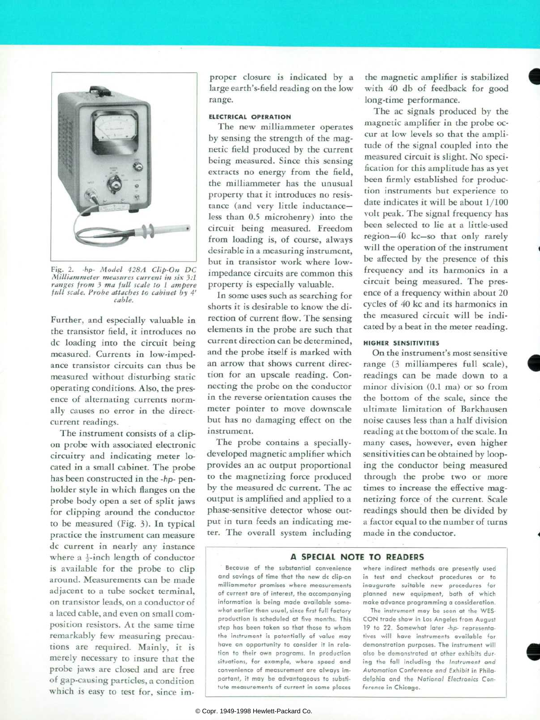

Fig. 2. -hp- Model 428A Clip-On DC *Milliammeter measures current in six ):l ranges from 3 ma full scale to I ampere full scale. Probe attaches to cabinet by 4' cable.* 

Further, and especially valuable in the transistor field, it introduces no dc loading into the circuit being measured. Currents in low-imped ance transistor circuits can thus be measured without disturbing static operating conditions. Also, the pres ence of alternating currents norm ally causes no error in the directcurrent readings.

The instrument consists of a clipon probe with associated electronic circuitry and indicating meter lo cated in a small cabinet. The probe has been constructed in the -hp- penholder style in which flanges on the probe body open a set of split jaws for clipping around the conductor to be measured (Fig. 3). In typical practice the instrument can measure dc current in nearly any instance where a  $\frac{1}{2}$ -inch length of conductor is available for the probe to clip around. Measurements can be made adjacent to a tube socket terminal, on transistor leads, on a conductor of a laced cable, and even on small com position resistors. At the same time remarkably few measuring precau tions are required. Mainly, it is merely necessary to insure that the probe jaws are closed and are free of gap-causing particles, a condition which is easy to test for, since im

proper closure is indicated by a large earth 's-field reading on the low range.

### **ELECTRICAL OPERATION**

The new milliammeter operates by sensing the strength of the mag netic field produced by the current being measured. Since this sensing extracts no energy from the field, the milliammeter has the unusual property that it introduces no resis tance (and very little inductanceless than 0.5 microhenry) into the circuit being measured. Freedom from loading is, of course, always desirable in a measuring instrument, but in transistor work where lowimpedance circuits are common this property is especially valuable.

In some uses such as searching for shorts it is desirable to know the di rection of current flow. The sensing elements in the probe are such that current direction can be determined, and the probe itself is marked with an arrow that shows current direc tion for an upscale reading. Con necting the probe on the conductor in the reverse orientation causes the meter pointer to move downscale but has no damaging effect on the instrument.

The probe contains a speciallydeveloped magnetic amplifier which provides an ac output proportional to the magnetizing force produced by the measured dc current. The ac output is amplified and applied to a phase-sensitive detector whose out put in turn feeds an indicating me ter. The overall system including

the magnetic amplifier is stabilized with 40 db of feedback for good long-time performance.

The ac signals produced by the magnetic amplifier in the probe oc cur at low levels so that the ampli tude of the signal coupled into the measured circuit is slight. No speci fication for this amplitude has as yet been firmly established for produc tion instruments but experience to date indicates it will be about 1/100 volt peak. The signal frequency has been selected to lie at a little-used region— 40 kc— so that only rarely will the operation of the instrument be affected by the presence of this frequency and its harmonics in a circuit being measured. The pres ence of a frequency within about 20 cycles of 40 kc and its harmonics in the measured circuit will be indi cated by a beat in the meter reading.

#### **HIGHER SENSITIVITIES**

On the instrument's most sensitive range (3 milliamperes full scale), readings can be made down to a minor division (0.1 ma) or so from the bottom of the scale, since the ultimate limitation of Barkhausen noise causes less than a half division reading at the bottom of the scale. In many cases, however, even higher sensitivities can be obtained by loop ing the conductor being measured through the probe two or more times to increase the effective mag netizing force of the current. Scale readings should then be divided by a factor equal to the number of turns made in the conductor.

## **A SPECIAL NOTE TO READERS**

Because of the substantial convenience and savings of time that the new dc clip-on milliammeter promises where measurements of current are of interest, the accompanying information is being made available some what earlier than usual, since first full factory production is scheduled at five months. This step has been taken so that those to whom the instrument is potentially of value may have an opportunity to consider it in rela tion to their own programs. In production situations, for example, where speed and convenience of measurement are always im portant, it may be advantaqeous to substi tute measurements of current in some places

where indirect methods are presently used in test and checkout procedures or to inaugurate suitable new procedures for planned new equipment, both of which make advance programming a consideration.

The instrument may be seen at the WES-CON trade show in Los Angeles from August 19 to 22. Somewhat later -hp- representatives will have instruments available for demonstration purposes. The instrument will also be demonstrated at other exhibits dur *ing the fall including the Instrument and*  Automation Conference and Exhibit in Phila delphia and the National Electronics Con ference in Chicago.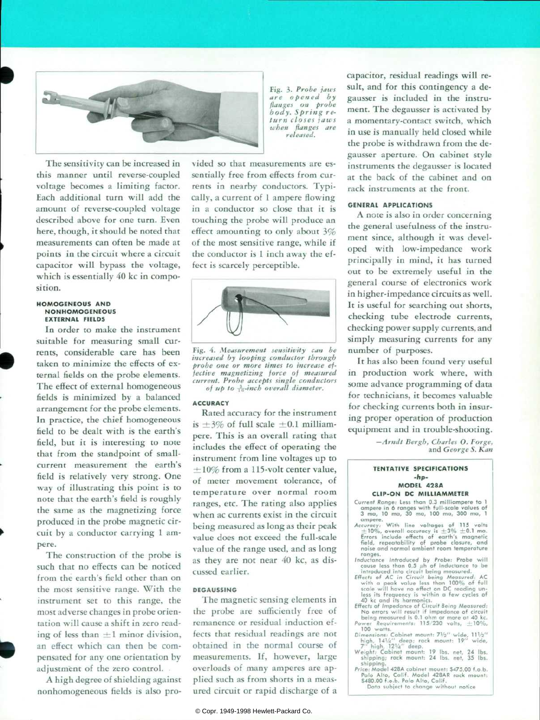

The sensitivity can be increased in this manner until reverse-coupled voltage becomes a limiting factor. Each additional turn will add the amount of reverse-coupled voltage described above for one turn. Even here, though, it should be noted that measurements can often be made at points in the circuit where a circuit capacitor will bypass the voltage, which is essentially 40 kc in composition.

#### **HOMOGENEOUS AND N ON HOMOGENEOUS EXTERNAL FIELDS**

In order to make the instrument suitable for measuring small cur rents, considerable care has been taken to minimize the effects of ex ternal fields on the probe elements. The effect of external homogeneous fields is minimized by a balanced arrangement for the probe elements. In practice, the chief homogeneous field to be dealt with is the earth's field, but it is interesting to note that from the standpoint of smallcurrent measurement the earth's field is relatively very strong. One way of illustrating this point is to note that the earth's field is roughly the same as the magnetizing force produced in the probe magnetic cir cuit by a conductor carrying 1 am pere.

The construction of the probe is such that no effects can be noticed from the earth's field other than on the most sensitive range. With the instrument set to this range, the most adverse changes in probe orien tation will cause a shift in zero read ing of less than  $\pm 1$  minor division, an effect which can then be com pensated for any one orientation by adjustment of the zero control.

A high degree of shielding against nonhomogeneous fields is also pro *Fig. 3. Probe jaws are opened by flanges on probe body. Spring re turn closes jaws when flanges are released.* 

vided so that measurements are es sentially free from effects from cur rents in nearby conductors. Typi cally, a current of 1 ampere flowing in a conductor so close that it is touching the probe will produce an effect amounting to only about 3% of the most sensitive range, while if the conductor is 1 inch away the ef fect is scarcely perceptible.



*Fig. 4. Measurement sensitivity can be increased by looping conductor through probe one or more times to increase ef fective magnetizing force of measured current. Probe accepts single conductors of up to -fa-inch overall diameter.* 

#### **ACCURACY**

Rated accuracy for the instrument is  $\pm 3\%$  of full scale  $\pm 0.1$  milliampere. This is an overall rating that includes the effect of operating the instrument from line voltages up to  $\pm 10\%$  from a 115-volt center value, of meter movement tolerance, of temperature over normal room ranges, etc. The rating also applies when ac currents exist in the circuit being measured as long as their peak value does not exceed the full-scale value of the range used, and as long as they are not near 40 kc, as dis cussed earlier.

#### **DEGAUSSING**

The magnetic sensing elements in the probe are sufficiently free of remanence or residual induction ef fects that residual readings are not obtained in the normal course of measurements. If, however, large overloads of many amperes are ap plied such as from shorts in a meas ured circuit or rapid discharge of a

© Copr. 1949-1998 Hewlett-Packard Co.

capacitor, residual readings will re sult, and for this contingency a de gausser is included in the instru ment. The degausser is activated by a momentary-contact switch, which in use is manually held closed while the probe is withdrawn from the de gausser aperture. On cabinet style instruments the degausser is located at the back of the cabinet and on rack instruments at the front.

#### **GENERAL APPLICATIONS**

A note is also in order concerning the general usefulness of the instru ment since, although it was devel oped with low-impedance work principally in mind, it has turned out to be extremely useful in the general course of electronics work in higher-impedance circuits as well. It is useful for searching out shorts, checking tube electrode currents, checking power supply currents, and simply measuring currents for any number of purposes.

It has also been found very useful in production work where, with some advance programming of data for technicians, it becomes valuable for checking currents both in insur ing proper operation of production equipment and in trouble-shooting.

> *—Arndt Bergh, Charles O. Forge, and George S. Kan*

#### **TENTATIVE SPECIFICATIONS -hp-MODEL 428A**

**CUP-ON DC MILLIAMMETER** 

- **Current Range: Less than 0.3 milliampere to 1**  ampere in 6 ranges with full-scale<br>3 ma, 10 ma, 30 ma, 100 ma, 30 10 ma, 30 ma, 100 ma, 300 ma,
- ampere.<br>  $\text{Acovorcy: With line voltages of } 115 \text{ volts}$ <br>  $\pm 10\%$ , overall accuracy is  $\pm 3\% \pm 0.1 \text{ mo.}$ <br>
Errors include effects of earth's magnetic<br>
field, repeatability of probe closure, and<br>
noise and normal ambient room temperature
- ranges. Inductance Introduced by Probe: Probe will
- cause less than 0.5 *µh* of inductance to be<br>introduced into circuit being measured.<br>Effects of AC in Circuit being Measured: AC<br>with a peak value less than 100% of full<br>scale will have no effect on DC reading un-
- less its frequency is within a few cycles of<br>do kc and its harmonics.<br>do kc and if such an expected in the effects of Impedance of Circuit Being Measured:<br>No errors will result if impedance of circuit<br>being measured is 0.
- 
- ipping; rack mount: 24 lbs. net, 35 lbs. shipping.
- Price: Model 428A cabinet mount: \$475.00 f.o.b. Palo Alto, Calif. Model 428AR rack mount: \$480.00 f.o.b. Pa!o Alto, Calif.

Data subject to change without notice